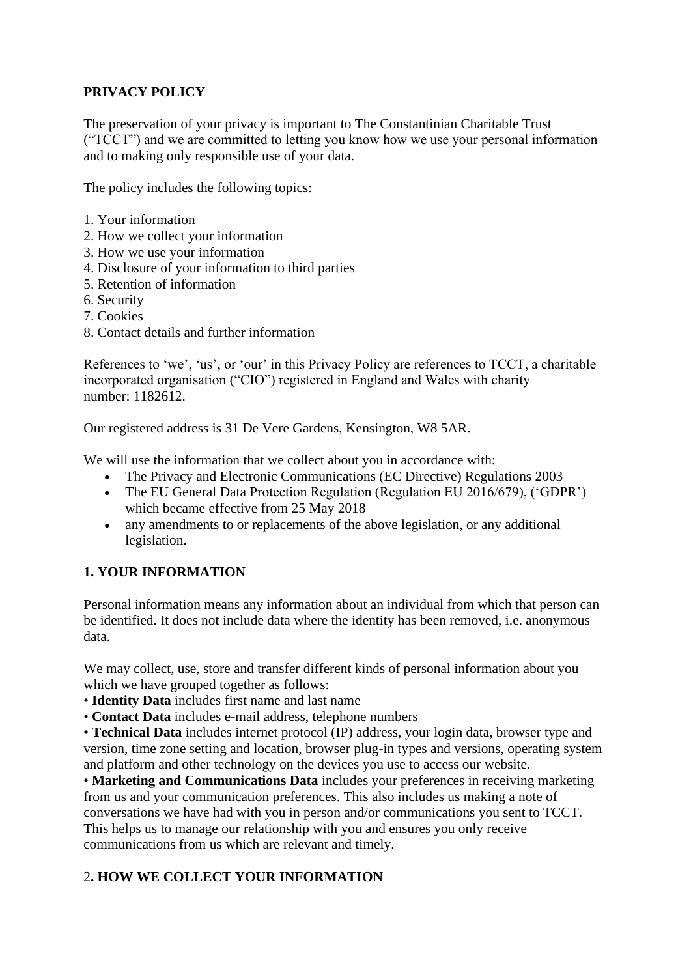## **PRIVACY POLICY**

The preservation of your privacy is important to The Constantinian Charitable Trust ("TCCT") and we are committed to letting you know how we use your personal information and to making only responsible use of your data.

The policy includes the following topics:

- 1. Your information
- 2. How we collect your information
- 3. How we use your information
- 4. Disclosure of your information to third parties
- 5. Retention of information
- 6. Security
- 7. Cookies
- 8. Contact details and further information

References to 'we', 'us', or 'our' in this Privacy Policy are references to TCCT, a charitable incorporated organisation ("CIO") registered in England and Wales with charity number: [1182612.](tel:1182612)

Our registered address is [31 De Vere Gardens, Kensington, W8 5AR.](x-apple-data-detectors://1/)

We will use the information that we collect about you in accordance with:

- The Privacy and Electronic Communications (EC Directive) Regulations 2003
- The EU General Data Protection Regulation (Regulation EU 2016/679), ('GDPR') which became effective from 25 May 2018
- any amendments to or replacements of the above legislation, or any additional legislation.

## **1. YOUR INFORMATION**

Personal information means any information about an individual from which that person can be identified. It does not include data where the identity has been removed, i.e. anonymous data.

We may collect, use, store and transfer different kinds of personal information about you which we have grouped together as follows:

- **Identity Data** includes first name and last name
- **Contact Data** includes e-mail address, telephone numbers

• **Technical Data** includes internet protocol (IP) address, your login data, browser type and version, time zone setting and location, browser plug-in types and versions, operating system and platform and other technology on the devices you use to access our website.

• **Marketing and Communications Data** includes your preferences in receiving marketing from us and your communication preferences. This also includes us making a note of conversations we have had with you in person and/or communications you sent to TCCT. This helps us to manage our relationship with you and ensures you only receive communications from us which are relevant and timely.

# 2**. HOW WE COLLECT YOUR INFORMATION**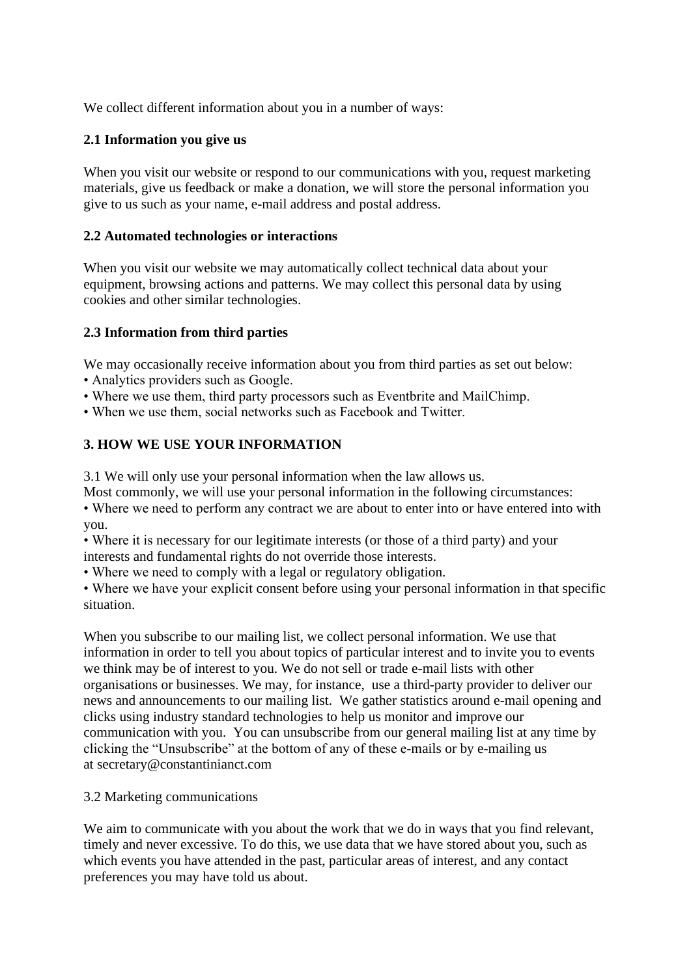We collect different information about you in a number of ways:

#### **2.1 Information you give us**

When you visit our website or respond to our communications with you, request marketing materials, give us feedback or make a donation, we will store the personal information you give to us such as your name, e-mail address and postal address.

#### **2.2 Automated technologies or interactions**

When you visit our website we may automatically collect technical data about your equipment, browsing actions and patterns. We may collect this personal data by using cookies and other similar technologies.

### **2.3 Information from third parties**

We may occasionally receive information about you from third parties as set out below:

- Analytics providers such as Google.
- Where we use them, third party processors such as Eventbrite and MailChimp.
- When we use them, social networks such as Facebook and Twitter.

## **3. HOW WE USE YOUR INFORMATION**

3.1 We will only use your personal information when the law allows us.

Most commonly, we will use your personal information in the following circumstances: • Where we need to perform any contract we are about to enter into or have entered into with you.

• Where it is necessary for our legitimate interests (or those of a third party) and your interests and fundamental rights do not override those interests.

• Where we need to comply with a legal or regulatory obligation.

• Where we have your explicit consent before using your personal information in that specific situation.

When you subscribe to our mailing list, we collect personal information. We use that information in order to tell you about topics of particular interest and to invite you to events we think may be of interest to you. We do not sell or trade e-mail lists with other organisations or businesses. We may, for instance, use a third-party provider to deliver our news and announcements to our mailing list. We gather statistics around e-mail opening and clicks using industry standard technologies to help us monitor and improve our communication with you. You can unsubscribe from our general mailing list at any time by clicking the "Unsubscribe" at the bottom of any of these e-mails or by e-mailing us at [secretary@constantinianct.com](mailto:secretary@constantinianct.com)

### 3.2 Marketing communications

We aim to communicate with you about the work that we do in ways that you find relevant, timely and never excessive. To do this, we use data that we have stored about you, such as which events you have attended in the past, particular areas of interest, and any contact preferences you may have told us about.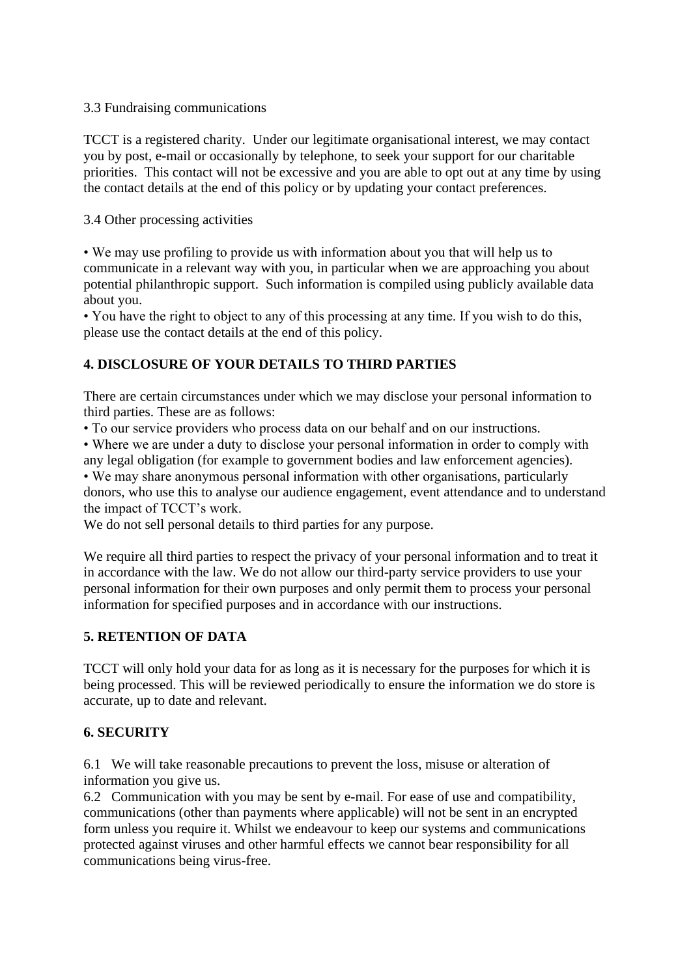#### 3.3 Fundraising communications

TCCT is a registered charity. Under our legitimate organisational interest, we may contact you by post, e-mail or occasionally by telephone, to seek your support for our charitable priorities. This contact will not be excessive and you are able to opt out at any time by using the contact details at the end of this policy or by updating your contact preferences.

### 3.4 Other processing activities

• We may use profiling to provide us with information about you that will help us to communicate in a relevant way with you, in particular when we are approaching you about potential philanthropic support. Such information is compiled using publicly available data about you.

• You have the right to object to any of this processing at any time. If you wish to do this, please use the contact details at the end of this policy.

## **4. DISCLOSURE OF YOUR DETAILS TO THIRD PARTIES**

There are certain circumstances under which we may disclose your personal information to third parties. These are as follows:

• To our service providers who process data on our behalf and on our instructions.

• Where we are under a duty to disclose your personal information in order to comply with any legal obligation (for example to government bodies and law enforcement agencies).

• We may share anonymous personal information with other organisations, particularly donors, who use this to analyse our audience engagement, event attendance and to understand the impact of TCCT's work.

We do not sell personal details to third parties for any purpose.

We require all third parties to respect the privacy of your personal information and to treat it in accordance with the law. We do not allow our third-party service providers to use your personal information for their own purposes and only permit them to process your personal information for specified purposes and in accordance with our instructions.

### **5. RETENTION OF DATA**

TCCT will only hold your data for as long as it is necessary for the purposes for which it is being processed. This will be reviewed periodically to ensure the information we do store is accurate, up to date and relevant.

### **6. SECURITY**

6.1 We will take reasonable precautions to prevent the loss, misuse or alteration of information you give us.

6.2 Communication with you may be sent by e-mail. For ease of use and compatibility, communications (other than payments where applicable) will not be sent in an encrypted form unless you require it. Whilst we endeavour to keep our systems and communications protected against viruses and other harmful effects we cannot bear responsibility for all communications being virus-free.